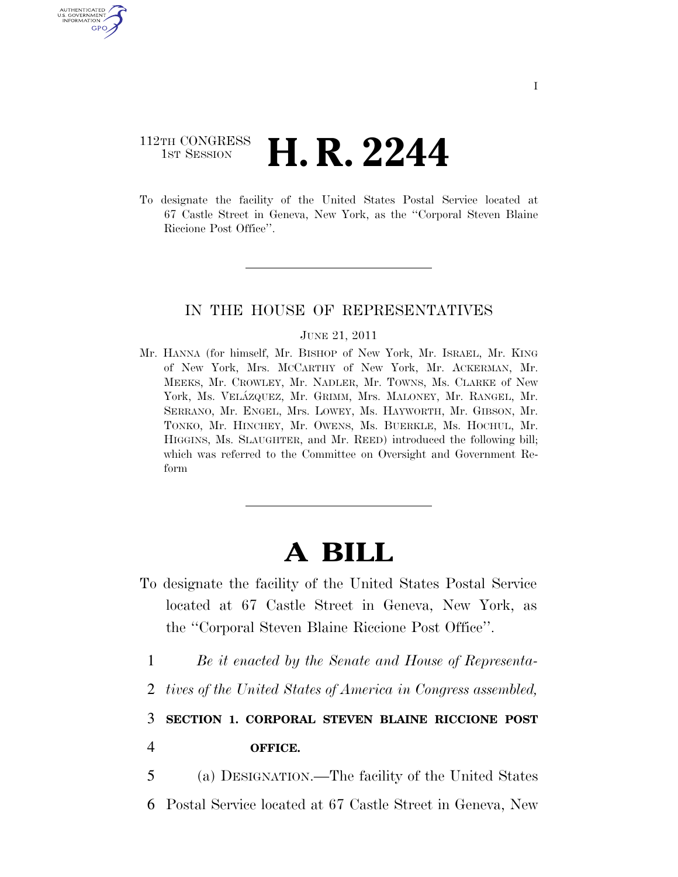# 112TH CONGRESS **1st Session H. R. 2244**

U.S. GOVERNMENT GPO

> To designate the facility of the United States Postal Service located at 67 Castle Street in Geneva, New York, as the ''Corporal Steven Blaine Riccione Post Office''.

### IN THE HOUSE OF REPRESENTATIVES

#### JUNE 21, 2011

Mr. HANNA (for himself, Mr. BISHOP of New York, Mr. ISRAEL, Mr. KING of New York, Mrs. MCCARTHY of New York, Mr. ACKERMAN, Mr. MEEKS, Mr. CROWLEY, Mr. NADLER, Mr. TOWNS, Ms. CLARKE of New York, Ms. VELÁZQUEZ, Mr. GRIMM, Mrs. MALONEY, Mr. RANGEL, Mr. SERRANO, Mr. ENGEL, Mrs. LOWEY, Ms. HAYWORTH, Mr. GIBSON, Mr. TONKO, Mr. HINCHEY, Mr. OWENS, Ms. BUERKLE, Ms. HOCHUL, Mr. HIGGINS, Ms. SLAUGHTER, and Mr. REED) introduced the following bill; which was referred to the Committee on Oversight and Government Reform

# **A BILL**

- To designate the facility of the United States Postal Service located at 67 Castle Street in Geneva, New York, as the ''Corporal Steven Blaine Riccione Post Office''.
	- 1 *Be it enacted by the Senate and House of Representa-*
	- 2 *tives of the United States of America in Congress assembled,*

## 3 **SECTION 1. CORPORAL STEVEN BLAINE RICCIONE POST**

4 **OFFICE.** 

5 (a) DESIGNATION.—The facility of the United States

6 Postal Service located at 67 Castle Street in Geneva, New